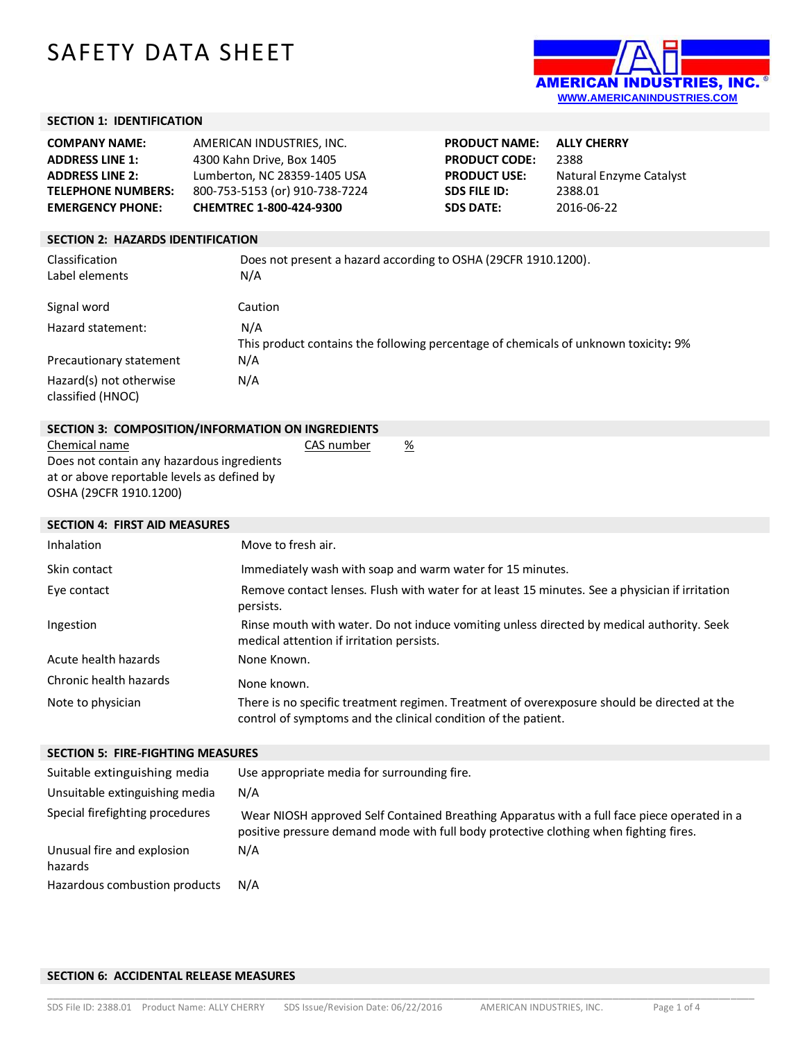# SAFETY DATA SHEET



## **SECTION 1: IDENTIFICATION**

| <b>COMPANY NAME:</b>      | AMERICAN INDUSTRIES. INC.      | <b>PRODUCT NAME:</b> | <b>ALLY CHERRY</b>      |
|---------------------------|--------------------------------|----------------------|-------------------------|
| <b>ADDRESS LINE 1:</b>    | 4300 Kahn Drive, Box 1405      | <b>PRODUCT CODE:</b> | 2388                    |
| <b>ADDRESS LINE 2:</b>    | Lumberton, NC 28359-1405 USA   | <b>PRODUCT USE:</b>  | Natural Enzyme Catalyst |
| <b>TELEPHONE NUMBERS:</b> | 800-753-5153 (or) 910-738-7224 | SDS FILE ID:         | 2388.01                 |
| <b>EMERGENCY PHONE:</b>   | <b>CHEMTREC 1-800-424-9300</b> | <b>SDS DATE:</b>     | 2016-06-22              |
|                           |                                |                      |                         |

# **SECTION 2: HAZARDS IDENTIFICATION**

| Classification<br>Label elements             | Does not present a hazard according to OSHA (29CFR 1910.1200).<br>N/A                      |
|----------------------------------------------|--------------------------------------------------------------------------------------------|
| Signal word                                  | Caution                                                                                    |
| Hazard statement:                            | N/A<br>This product contains the following percentage of chemicals of unknown toxicity: 9% |
| Precautionary statement                      | N/A                                                                                        |
| Hazard(s) not otherwise<br>classified (HNOC) | N/A                                                                                        |

| SECTION 3: COMPOSITION/INFORMATION ON INGREDIENTS |            |   |
|---------------------------------------------------|------------|---|
| Chemical name                                     | CAS number | % |
| Does not contain any hazardous ingredients        |            |   |
| at or above reportable levels as defined by       |            |   |
| OSHA (29CFR 1910.1200)                            |            |   |

| <b>SECTION 4: FIRST AID MEASURES</b> |                                                                                                                                                               |
|--------------------------------------|---------------------------------------------------------------------------------------------------------------------------------------------------------------|
| <b>Inhalation</b>                    | Move to fresh air.                                                                                                                                            |
| Skin contact                         | Immediately wash with soap and warm water for 15 minutes.                                                                                                     |
| Eye contact                          | Remove contact lenses. Flush with water for at least 15 minutes. See a physician if irritation<br>persists.                                                   |
| Ingestion                            | Rinse mouth with water. Do not induce vomiting unless directed by medical authority. Seek<br>medical attention if irritation persists.                        |
| Acute health hazards                 | None Known.                                                                                                                                                   |
| Chronic health hazards               | None known.                                                                                                                                                   |
| Note to physician                    | There is no specific treatment regimen. Treatment of overexposure should be directed at the<br>control of symptoms and the clinical condition of the patient. |

| <b>SECTION 5: FIRE-FIGHTING MEASURES</b>                       |                                                                                                                                                                                      |  |
|----------------------------------------------------------------|--------------------------------------------------------------------------------------------------------------------------------------------------------------------------------------|--|
| Suitable extinguishing media<br>Unsuitable extinguishing media | Use appropriate media for surrounding fire.<br>N/A                                                                                                                                   |  |
| Special firefighting procedures                                | Wear NIOSH approved Self Contained Breathing Apparatus with a full face piece operated in a<br>positive pressure demand mode with full body protective clothing when fighting fires. |  |
| Unusual fire and explosion<br>hazards                          | N/A                                                                                                                                                                                  |  |
| Hazardous combustion products                                  | N/A                                                                                                                                                                                  |  |

\_\_\_\_\_\_\_\_\_\_\_\_\_\_\_\_\_\_\_\_\_\_\_\_\_\_\_\_\_\_\_\_\_\_\_\_\_\_\_\_\_\_\_\_\_\_\_\_\_\_\_\_\_\_\_\_\_\_\_\_\_\_\_\_\_\_\_\_\_\_\_\_\_\_\_\_\_\_\_\_\_\_\_\_\_\_\_\_\_\_\_\_\_\_\_\_\_\_\_\_\_\_\_\_\_\_\_\_\_\_\_\_\_\_\_\_\_\_\_\_

## **SECTION 6: ACCIDENTAL RELEASE MEASURES**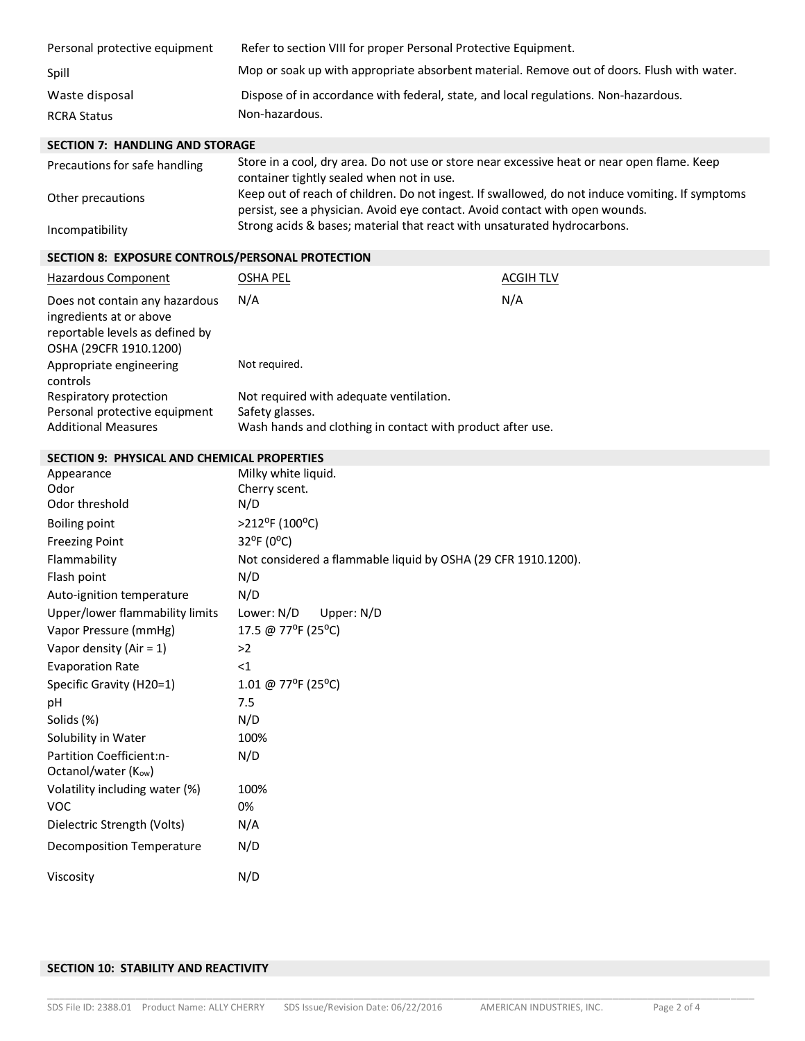| Personal protective equipment | Refer to section VIII for proper Personal Protective Equipment.                            |
|-------------------------------|--------------------------------------------------------------------------------------------|
| Spill                         | Mop or soak up with appropriate absorbent material. Remove out of doors. Flush with water. |
| Waste disposal                | Dispose of in accordance with federal, state, and local regulations. Non-hazardous.        |
| RCRA Status                   | Non-hazardous.                                                                             |

# **SECTION 7: HANDLING AND STORAGE**

| Precautions for safe handling | Store in a cool, dry area. Do not use or store near excessive heat or near open flame. Keep<br>container tightly sealed when not in use.                                        |
|-------------------------------|---------------------------------------------------------------------------------------------------------------------------------------------------------------------------------|
| Other precautions             | Keep out of reach of children. Do not ingest. If swallowed, do not induce vomiting. If symptoms<br>persist, see a physician. Avoid eve contact. Avoid contact with open wounds. |
| Incompatibility               | Strong acids & bases; material that react with unsaturated hydrocarbons.                                                                                                        |

# **SECTION 8: EXPOSURE CONTROLS/PERSONAL PROTECTION**

| Hazardous Component                                                                                                    | OSHA PEL                                                   | <b>ACGIH TLV</b> |
|------------------------------------------------------------------------------------------------------------------------|------------------------------------------------------------|------------------|
| Does not contain any hazardous<br>ingredients at or above<br>reportable levels as defined by<br>OSHA (29CFR 1910.1200) | N/A                                                        | N/A              |
| Appropriate engineering<br>controls                                                                                    | Not required.                                              |                  |
| Respiratory protection                                                                                                 | Not required with adequate ventilation.                    |                  |
| Personal protective equipment                                                                                          | Safety glasses.                                            |                  |
| <b>Additional Measures</b>                                                                                             | Wash hands and clothing in contact with product after use. |                  |

## **SECTION 9: PHYSICAL AND CHEMICAL PROPERTIES**

| Appearance                      | Milky white liquid.                                           |
|---------------------------------|---------------------------------------------------------------|
| Odor                            | Cherry scent.                                                 |
| Odor threshold                  | N/D                                                           |
| <b>Boiling point</b>            | >212°F (100°C)                                                |
| <b>Freezing Point</b>           | 32°F (0°C)                                                    |
| Flammability                    | Not considered a flammable liquid by OSHA (29 CFR 1910.1200). |
| Flash point                     | N/D                                                           |
| Auto-ignition temperature       | N/D                                                           |
| Upper/lower flammability limits | Lower: N/D<br>Upper: N/D                                      |
| Vapor Pressure (mmHg)           | 17.5 @ 77°F (25°C)                                            |
| Vapor density (Air = $1$ )      | >2                                                            |
| <b>Evaporation Rate</b>         | $\leq$ 1                                                      |
| Specific Gravity (H20=1)        | 1.01 @ 77°F (25°C)                                            |
| рH                              | 7.5                                                           |
| Solids (%)                      | N/D                                                           |
| Solubility in Water             | 100%                                                          |
| Partition Coefficient:n-        | N/D                                                           |
| Octanol/water (Kow)             |                                                               |
| Volatility including water (%)  | 100%                                                          |
| <b>VOC</b>                      | 0%                                                            |
| Dielectric Strength (Volts)     | N/A                                                           |
| Decomposition Temperature       | N/D                                                           |
| Viscosity                       | N/D                                                           |

# **SECTION 10: STABILITY AND REACTIVITY**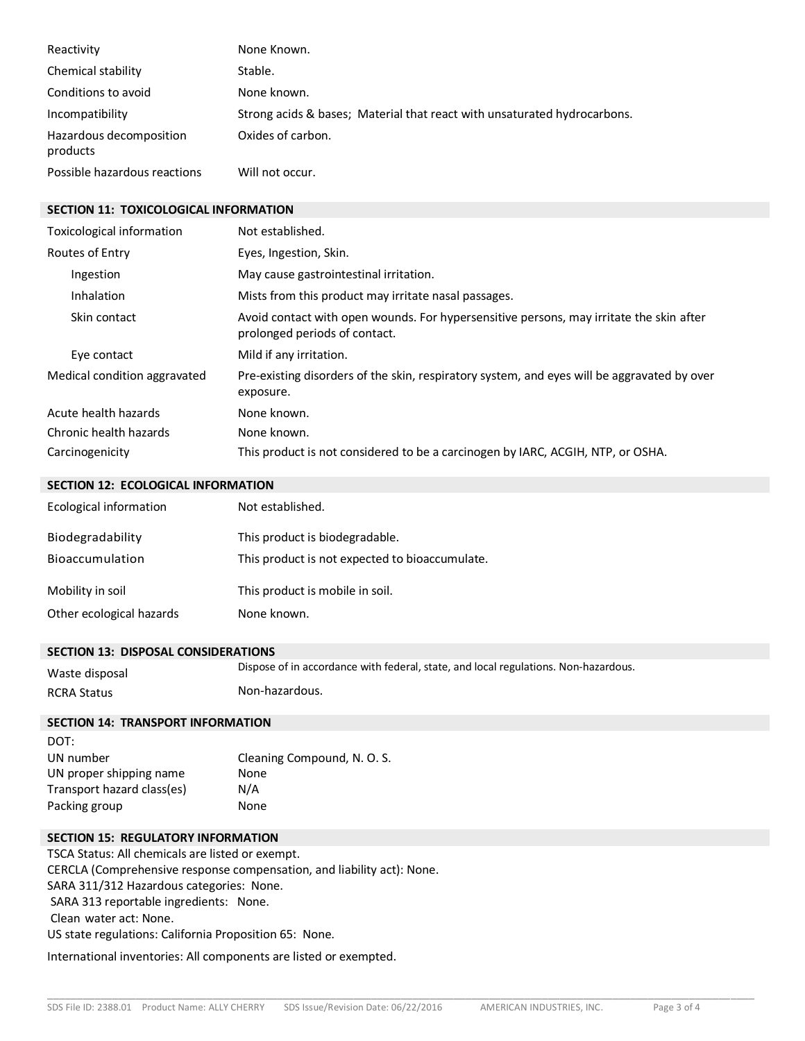| Reactivity                          | None Known.                                                              |
|-------------------------------------|--------------------------------------------------------------------------|
| Chemical stability                  | Stable.                                                                  |
| Conditions to avoid                 | None known.                                                              |
| Incompatibility                     | Strong acids & bases; Material that react with unsaturated hydrocarbons. |
| Hazardous decomposition<br>products | Oxides of carbon.                                                        |
| Possible hazardous reactions        | Will not occur.                                                          |

#### **SECTION 11: TOXICOLOGICAL INFORMATION**

| Toxicological information    | Not established.                                                                                                         |
|------------------------------|--------------------------------------------------------------------------------------------------------------------------|
| Routes of Entry              | Eyes, Ingestion, Skin.                                                                                                   |
| Ingestion                    | May cause gastrointestinal irritation.                                                                                   |
| Inhalation                   | Mists from this product may irritate nasal passages.                                                                     |
| Skin contact                 | Avoid contact with open wounds. For hypersensitive persons, may irritate the skin after<br>prolonged periods of contact. |
| Eye contact                  | Mild if any irritation.                                                                                                  |
| Medical condition aggravated | Pre-existing disorders of the skin, respiratory system, and eyes will be aggravated by over<br>exposure.                 |
| Acute health hazards         | None known.                                                                                                              |
| Chronic health hazards       | None known.                                                                                                              |
| Carcinogenicity              | This product is not considered to be a carcinogen by IARC, ACGIH, NTP, or OSHA.                                          |

#### **SECTION 12: ECOLOGICAL INFORMATION**

| Ecological information   | Not established.                               |
|--------------------------|------------------------------------------------|
| Biodegradability         | This product is biodegradable.                 |
| <b>Bioaccumulation</b>   | This product is not expected to bioaccumulate. |
| Mobility in soil         | This product is mobile in soil.                |
| Other ecological hazards | None known.                                    |

#### **SECTION 13: DISPOSAL CONSIDERATIONS**

Waste disposal Dispose of in accordance with federal, state, and local regulations. Non-hazardous. RCRA Status Non-hazardous.

\_\_\_\_\_\_\_\_\_\_\_\_\_\_\_\_\_\_\_\_\_\_\_\_\_\_\_\_\_\_\_\_\_\_\_\_\_\_\_\_\_\_\_\_\_\_\_\_\_\_\_\_\_\_\_\_\_\_\_\_\_\_\_\_\_\_\_\_\_\_\_\_\_\_\_\_\_\_\_\_\_\_\_\_\_\_\_\_\_\_\_\_\_\_\_\_\_\_\_\_\_\_\_\_\_\_\_\_\_\_\_\_\_\_\_\_\_\_\_\_

## **SECTION 14: TRANSPORT INFORMATION**

| Cleaning Compound, N. O. S. |
|-----------------------------|
| None                        |
| N/A                         |
| None                        |
|                             |

### **SECTION 15: REGULATORY INFORMATION**

TSCA Status: All chemicals are listed or exempt. CERCLA (Comprehensive response compensation, and liability act): None. SARA 311/312 Hazardous categories: None. SARA 313 reportable ingredients: None. Clean water act: None. US state regulations: California Proposition 65: None.

International inventories: All components are listed or exempted.